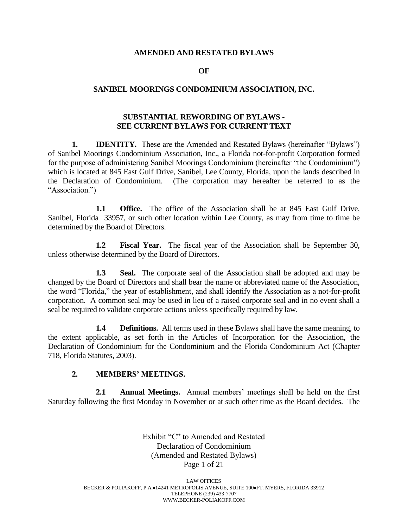#### **AMENDED AND RESTATED BYLAWS**

#### **OF**

### **SANIBEL MOORINGS CONDOMINIUM ASSOCIATION, INC.**

## **SUBSTANTIAL REWORDING OF BYLAWS - SEE CURRENT BYLAWS FOR CURRENT TEXT**

**1. IDENTITY.** These are the Amended and Restated Bylaws (hereinafter "Bylaws") of Sanibel Moorings Condominium Association, Inc., a Florida not-for-profit Corporation formed for the purpose of administering Sanibel Moorings Condominium (hereinafter "the Condominium") which is located at 845 East Gulf Drive, Sanibel, Lee County, Florida, upon the lands described in the Declaration of Condominium. (The corporation may hereafter be referred to as the "Association.")

**1.1 Office.** The office of the Association shall be at 845 East Gulf Drive, Sanibel, Florida 33957, or such other location within Lee County, as may from time to time be determined by the Board of Directors.

**1.2 Fiscal Year.** The fiscal year of the Association shall be September 30, unless otherwise determined by the Board of Directors.

**1.3 Seal.** The corporate seal of the Association shall be adopted and may be changed by the Board of Directors and shall bear the name or abbreviated name of the Association, the word "Florida," the year of establishment, and shall identify the Association as a not-for-profit corporation. A common seal may be used in lieu of a raised corporate seal and in no event shall a seal be required to validate corporate actions unless specifically required by law.

**1.4 Definitions.** All terms used in these Bylaws shall have the same meaning, to the extent applicable, as set forth in the Articles of Incorporation for the Association, the Declaration of Condominium for the Condominium and the Florida Condominium Act (Chapter 718, Florida Statutes, 2003).

### **2. MEMBERS' MEETINGS.**

**2.1 Annual Meetings.** Annual members' meetings shall be held on the first Saturday following the first Monday in November or at such other time as the Board decides. The

> Exhibit "C" to Amended and Restated Declaration of Condominium (Amended and Restated Bylaws) Page 1 of 21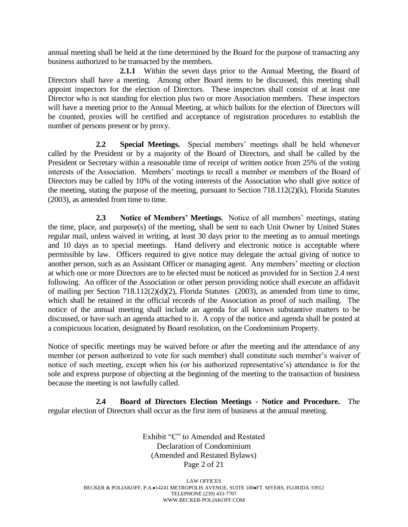annual meeting shall be held at the time determined by the Board for the purpose of transacting any business authorized to be transacted by the members.

**2.1.1** Within the seven days prior to the Annual Meeting, the Board of Directors shall have a meeting. Among other Board items to be discussed, this meeting shall appoint inspectors for the election of Directors. These inspectors shall consist of at least one Director who is not standing for election plus two or more Association members. These inspectors will have a meeting prior to the Annual Meeting, at which ballots for the election of Directors will be counted, proxies will be certified and acceptance of registration procedures to establish the number of persons present or by proxy.

**2.2 Special Meetings.** Special members' meetings shall be held whenever called by the President or by a majority of the Board of Directors, and shall be called by the President or Secretary within a reasonable time of receipt of written notice from 25% of the voting interests of the Association. Members' meetings to recall a member or members of the Board of Directors may be called by 10% of the voting interests of the Association who shall give notice of the meeting, stating the purpose of the meeting, pursuant to Section 718.112(2)(k), Florida Statutes (2003), as amended from time to time.

**2.3 Notice of Members' Meetings.** Notice of all members' meetings, stating the time, place, and purpose(s) of the meeting, shall be sent to each Unit Owner by United States regular mail, unless waived in writing, at least 30 days prior to the meeting as to annual meetings and 10 days as to special meetings. Hand delivery and electronic notice is acceptable where permissible by law. Officers required to give notice may delegate the actual giving of notice to another person, such as an Assistant Officer or managing agent. Any members' meeting or election at which one or more Directors are to be elected must be noticed as provided for in Section 2.4 next following. An officer of the Association or other person providing notice shall execute an affidavit of mailing per Section 718.112(2)(d)(2), Florida Statutes (2003), as amended from time to time, which shall be retained in the official records of the Association as proof of such mailing. The notice of the annual meeting shall include an agenda for all known substantive matters to be discussed, or have such an agenda attached to it. A copy of the notice and agenda shall be posted at a conspicuous location, designated by Board resolution, on the Condominium Property.

Notice of specific meetings may be waived before or after the meeting and the attendance of any member (or person authorized to vote for such member) shall constitute such member's waiver of notice of such meeting, except when his (or his authorized representative's) attendance is for the sole and express purpose of objecting at the beginning of the meeting to the transaction of business because the meeting is not lawfully called.

**2.4 Board of Directors Election Meetings - Notice and Procedure.** The regular election of Directors shall occur as the first item of business at the annual meeting.

> Exhibit "C" to Amended and Restated Declaration of Condominium (Amended and Restated Bylaws) Page 2 of 21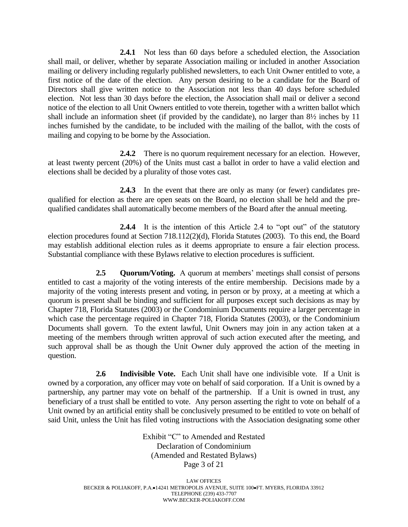**2.4.1** Not less than 60 days before a scheduled election, the Association shall mail, or deliver, whether by separate Association mailing or included in another Association mailing or delivery including regularly published newsletters, to each Unit Owner entitled to vote, a first notice of the date of the election. Any person desiring to be a candidate for the Board of Directors shall give written notice to the Association not less than 40 days before scheduled election. Not less than 30 days before the election, the Association shall mail or deliver a second notice of the election to all Unit Owners entitled to vote therein, together with a written ballot which shall include an information sheet (if provided by the candidate), no larger than 8½ inches by 11 inches furnished by the candidate, to be included with the mailing of the ballot, with the costs of mailing and copying to be borne by the Association.

**2.4.2** There is no quorum requirement necessary for an election. However, at least twenty percent (20%) of the Units must cast a ballot in order to have a valid election and elections shall be decided by a plurality of those votes cast.

**2.4.3** In the event that there are only as many (or fewer) candidates prequalified for election as there are open seats on the Board, no election shall be held and the prequalified candidates shall automatically become members of the Board after the annual meeting.

**2.4.4** It is the intention of this Article 2.4 to "opt out" of the statutory election procedures found at Section 718.112(2)(d), Florida Statutes (2003). To this end, the Board may establish additional election rules as it deems appropriate to ensure a fair election process. Substantial compliance with these Bylaws relative to election procedures is sufficient.

**2.5 Quorum/Voting.** A quorum at members' meetings shall consist of persons entitled to cast a majority of the voting interests of the entire membership. Decisions made by a majority of the voting interests present and voting, in person or by proxy, at a meeting at which a quorum is present shall be binding and sufficient for all purposes except such decisions as may by Chapter 718, Florida Statutes (2003) or the Condominium Documents require a larger percentage in which case the percentage required in Chapter 718, Florida Statutes (2003), or the Condominium Documents shall govern. To the extent lawful, Unit Owners may join in any action taken at a meeting of the members through written approval of such action executed after the meeting, and such approval shall be as though the Unit Owner duly approved the action of the meeting in question.

**2.6 Indivisible Vote.** Each Unit shall have one indivisible vote. If a Unit is owned by a corporation, any officer may vote on behalf of said corporation. If a Unit is owned by a partnership, any partner may vote on behalf of the partnership. If a Unit is owned in trust, any beneficiary of a trust shall be entitled to vote. Any person asserting the right to vote on behalf of a Unit owned by an artificial entity shall be conclusively presumed to be entitled to vote on behalf of said Unit, unless the Unit has filed voting instructions with the Association designating some other

> Exhibit "C" to Amended and Restated Declaration of Condominium (Amended and Restated Bylaws) Page 3 of 21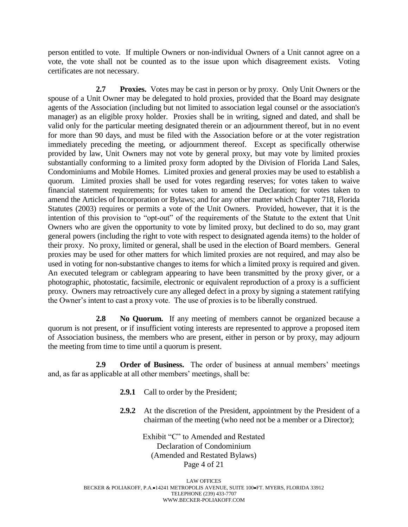person entitled to vote. If multiple Owners or non-individual Owners of a Unit cannot agree on a vote, the vote shall not be counted as to the issue upon which disagreement exists. Voting certificates are not necessary.

**2.7 Proxies.** Votes may be cast in person or by proxy. Only Unit Owners or the spouse of a Unit Owner may be delegated to hold proxies, provided that the Board may designate agents of the Association (including but not limited to association legal counsel or the association's manager) as an eligible proxy holder. Proxies shall be in writing, signed and dated, and shall be valid only for the particular meeting designated therein or an adjournment thereof, but in no event for more than 90 days, and must be filed with the Association before or at the voter registration immediately preceding the meeting, or adjournment thereof. Except as specifically otherwise provided by law, Unit Owners may not vote by general proxy, but may vote by limited proxies substantially conforming to a limited proxy form adopted by the Division of Florida Land Sales, Condominiums and Mobile Homes. Limited proxies and general proxies may be used to establish a quorum. Limited proxies shall be used for votes regarding reserves; for votes taken to waive financial statement requirements; for votes taken to amend the Declaration; for votes taken to amend the Articles of Incorporation or Bylaws; and for any other matter which Chapter 718, Florida Statutes (2003) requires or permits a vote of the Unit Owners. Provided, however, that it is the intention of this provision to "opt-out" of the requirements of the Statute to the extent that Unit Owners who are given the opportunity to vote by limited proxy, but declined to do so, may grant general powers (including the right to vote with respect to designated agenda items) to the holder of their proxy. No proxy, limited or general, shall be used in the election of Board members. General proxies may be used for other matters for which limited proxies are not required, and may also be used in voting for non-substantive changes to items for which a limited proxy is required and given. An executed telegram or cablegram appearing to have been transmitted by the proxy giver, or a photographic, photostatic, facsimile, electronic or equivalent reproduction of a proxy is a sufficient proxy. Owners may retroactively cure any alleged defect in a proxy by signing a statement ratifying the Owner's intent to cast a proxy vote. The use of proxies is to be liberally construed.

**2.8 No Quorum.** If any meeting of members cannot be organized because a quorum is not present, or if insufficient voting interests are represented to approve a proposed item of Association business, the members who are present, either in person or by proxy, may adjourn the meeting from time to time until a quorum is present.

**2.9 Order of Business.** The order of business at annual members' meetings and, as far as applicable at all other members' meetings, shall be:

- 2.9.1 Call to order by the President;
- **2.9.2** At the discretion of the President, appointment by the President of a chairman of the meeting (who need not be a member or a Director);

Exhibit "C" to Amended and Restated Declaration of Condominium (Amended and Restated Bylaws) Page 4 of 21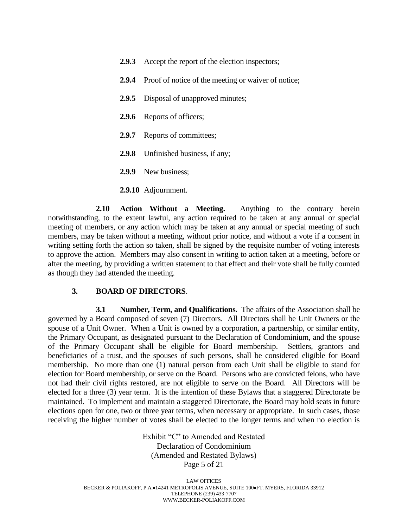- **2.9.3** Accept the report of the election inspectors;
- **2.9.4** Proof of notice of the meeting or waiver of notice;
- **2.9.5** Disposal of unapproved minutes;
- **2.9.6** Reports of officers;
- 2.9.7 Reports of committees;
- **2.9.8** Unfinished business, if any;
- **2.9.9** New business;
- **2.9.10** Adjournment.

**2.10 Action Without a Meeting.** Anything to the contrary herein notwithstanding, to the extent lawful, any action required to be taken at any annual or special meeting of members, or any action which may be taken at any annual or special meeting of such members, may be taken without a meeting, without prior notice, and without a vote if a consent in writing setting forth the action so taken, shall be signed by the requisite number of voting interests to approve the action. Members may also consent in writing to action taken at a meeting, before or after the meeting, by providing a written statement to that effect and their vote shall be fully counted as though they had attended the meeting.

#### **3. BOARD OF DIRECTORS**.

**3.1 Number, Term, and Qualifications.** The affairs of the Association shall be governed by a Board composed of seven (7) Directors. All Directors shall be Unit Owners or the spouse of a Unit Owner. When a Unit is owned by a corporation, a partnership, or similar entity, the Primary Occupant, as designated pursuant to the Declaration of Condominium, and the spouse of the Primary Occupant shall be eligible for Board membership. Settlers, grantors and beneficiaries of a trust, and the spouses of such persons, shall be considered eligible for Board membership. No more than one (1) natural person from each Unit shall be eligible to stand for election for Board membership, or serve on the Board. Persons who are convicted felons, who have not had their civil rights restored, are not eligible to serve on the Board. All Directors will be elected for a three (3) year term. It is the intention of these Bylaws that a staggered Directorate be maintained. To implement and maintain a staggered Directorate, the Board may hold seats in future elections open for one, two or three year terms, when necessary or appropriate. In such cases, those receiving the higher number of votes shall be elected to the longer terms and when no election is

> Exhibit "C" to Amended and Restated Declaration of Condominium (Amended and Restated Bylaws) Page 5 of 21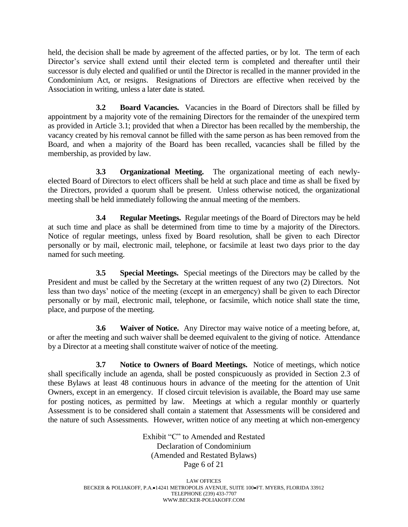held, the decision shall be made by agreement of the affected parties, or by lot. The term of each Director's service shall extend until their elected term is completed and thereafter until their successor is duly elected and qualified or until the Director is recalled in the manner provided in the Condominium Act, or resigns. Resignations of Directors are effective when received by the Association in writing, unless a later date is stated.

**3.2 Board Vacancies.** Vacancies in the Board of Directors shall be filled by appointment by a majority vote of the remaining Directors for the remainder of the unexpired term as provided in Article 3.1; provided that when a Director has been recalled by the membership, the vacancy created by his removal cannot be filled with the same person as has been removed from the Board, and when a majority of the Board has been recalled, vacancies shall be filled by the membership, as provided by law.

**3.3 Organizational Meeting.** The organizational meeting of each newlyelected Board of Directors to elect officers shall be held at such place and time as shall be fixed by the Directors, provided a quorum shall be present. Unless otherwise noticed, the organizational meeting shall be held immediately following the annual meeting of the members.

**3.4 Regular Meetings.** Regular meetings of the Board of Directors may be held at such time and place as shall be determined from time to time by a majority of the Directors. Notice of regular meetings, unless fixed by Board resolution, shall be given to each Director personally or by mail, electronic mail, telephone, or facsimile at least two days prior to the day named for such meeting.

**3.5 Special Meetings.** Special meetings of the Directors may be called by the President and must be called by the Secretary at the written request of any two (2) Directors. Not less than two days' notice of the meeting (except in an emergency) shall be given to each Director personally or by mail, electronic mail, telephone, or facsimile, which notice shall state the time, place, and purpose of the meeting.

**3.6 Waiver of Notice.** Any Director may waive notice of a meeting before, at, or after the meeting and such waiver shall be deemed equivalent to the giving of notice. Attendance by a Director at a meeting shall constitute waiver of notice of the meeting.

**3.7 Notice to Owners of Board Meetings.** Notice of meetings, which notice shall specifically include an agenda, shall be posted conspicuously as provided in Section 2.3 of these Bylaws at least 48 continuous hours in advance of the meeting for the attention of Unit Owners, except in an emergency. If closed circuit television is available, the Board may use same for posting notices, as permitted by law. Meetings at which a regular monthly or quarterly Assessment is to be considered shall contain a statement that Assessments will be considered and the nature of such Assessments. However, written notice of any meeting at which non-emergency

> Exhibit "C" to Amended and Restated Declaration of Condominium (Amended and Restated Bylaws) Page 6 of 21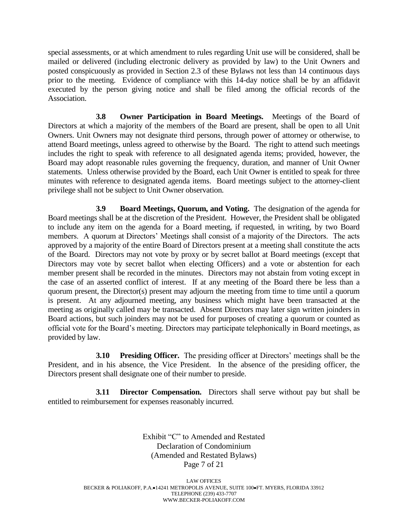special assessments, or at which amendment to rules regarding Unit use will be considered, shall be mailed or delivered (including electronic delivery as provided by law) to the Unit Owners and posted conspicuously as provided in Section 2.3 of these Bylaws not less than 14 continuous days prior to the meeting. Evidence of compliance with this 14-day notice shall be by an affidavit executed by the person giving notice and shall be filed among the official records of the Association.

**3.8 Owner Participation in Board Meetings.** Meetings of the Board of Directors at which a majority of the members of the Board are present, shall be open to all Unit Owners. Unit Owners may not designate third persons, through power of attorney or otherwise, to attend Board meetings, unless agreed to otherwise by the Board. The right to attend such meetings includes the right to speak with reference to all designated agenda items; provided, however, the Board may adopt reasonable rules governing the frequency, duration, and manner of Unit Owner statements. Unless otherwise provided by the Board, each Unit Owner is entitled to speak for three minutes with reference to designated agenda items. Board meetings subject to the attorney-client privilege shall not be subject to Unit Owner observation.

**3.9 Board Meetings, Quorum, and Voting.** The designation of the agenda for Board meetings shall be at the discretion of the President. However, the President shall be obligated to include any item on the agenda for a Board meeting, if requested, in writing, by two Board members. A quorum at Directors' Meetings shall consist of a majority of the Directors. The acts approved by a majority of the entire Board of Directors present at a meeting shall constitute the acts of the Board. Directors may not vote by proxy or by secret ballot at Board meetings (except that Directors may vote by secret ballot when electing Officers) and a vote or abstention for each member present shall be recorded in the minutes. Directors may not abstain from voting except in the case of an asserted conflict of interest. If at any meeting of the Board there be less than a quorum present, the Director(s) present may adjourn the meeting from time to time until a quorum is present. At any adjourned meeting, any business which might have been transacted at the meeting as originally called may be transacted. Absent Directors may later sign written joinders in Board actions, but such joinders may not be used for purposes of creating a quorum or counted as official vote for the Board's meeting. Directors may participate telephonically in Board meetings, as provided by law.

**3.10 Presiding Officer.** The presiding officer at Directors' meetings shall be the President, and in his absence, the Vice President. In the absence of the presiding officer, the Directors present shall designate one of their number to preside.

**3.11 Director Compensation.** Directors shall serve without pay but shall be entitled to reimbursement for expenses reasonably incurred.

> Exhibit "C" to Amended and Restated Declaration of Condominium (Amended and Restated Bylaws) Page 7 of 21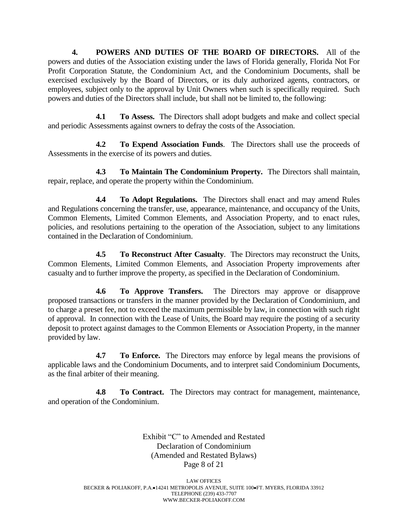**4. POWERS AND DUTIES OF THE BOARD OF DIRECTORS.** All of the powers and duties of the Association existing under the laws of Florida generally, Florida Not For Profit Corporation Statute, the Condominium Act, and the Condominium Documents, shall be exercised exclusively by the Board of Directors, or its duly authorized agents, contractors, or employees, subject only to the approval by Unit Owners when such is specifically required. Such powers and duties of the Directors shall include, but shall not be limited to, the following:

**4.1 To Assess.** The Directors shall adopt budgets and make and collect special and periodic Assessments against owners to defray the costs of the Association.

**4.2 To Expend Association Funds**. The Directors shall use the proceeds of Assessments in the exercise of its powers and duties.

**4.3 To Maintain The Condominium Property.** The Directors shall maintain, repair, replace, and operate the property within the Condominium.

**4.4 To Adopt Regulations.** The Directors shall enact and may amend Rules and Regulations concerning the transfer, use, appearance, maintenance, and occupancy of the Units, Common Elements, Limited Common Elements, and Association Property, and to enact rules, policies, and resolutions pertaining to the operation of the Association, subject to any limitations contained in the Declaration of Condominium.

**4.5 To Reconstruct After Casualty**. The Directors may reconstruct the Units, Common Elements, Limited Common Elements, and Association Property improvements after casualty and to further improve the property, as specified in the Declaration of Condominium.

**4.6 To Approve Transfers.** The Directors may approve or disapprove proposed transactions or transfers in the manner provided by the Declaration of Condominium, and to charge a preset fee, not to exceed the maximum permissible by law, in connection with such right of approval. In connection with the Lease of Units, the Board may require the posting of a security deposit to protect against damages to the Common Elements or Association Property, in the manner provided by law.

**4.7 To Enforce.** The Directors may enforce by legal means the provisions of applicable laws and the Condominium Documents, and to interpret said Condominium Documents, as the final arbiter of their meaning.

**4.8 To Contract.** The Directors may contract for management, maintenance, and operation of the Condominium.

> Exhibit "C" to Amended and Restated Declaration of Condominium (Amended and Restated Bylaws) Page 8 of 21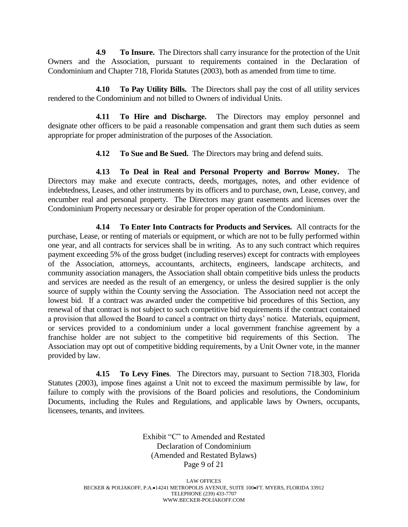**4.9 To Insure.** The Directors shall carry insurance for the protection of the Unit Owners and the Association, pursuant to requirements contained in the Declaration of Condominium and Chapter 718, Florida Statutes (2003), both as amended from time to time.

**4.10 To Pay Utility Bills.** The Directors shall pay the cost of all utility services rendered to the Condominium and not billed to Owners of individual Units.

**4.11 To Hire and Discharge.** The Directors may employ personnel and designate other officers to be paid a reasonable compensation and grant them such duties as seem appropriate for proper administration of the purposes of the Association.

**4.12 To Sue and Be Sued.** The Directors may bring and defend suits.

**4.13 To Deal in Real and Personal Property and Borrow Money.** The Directors may make and execute contracts, deeds, mortgages, notes, and other evidence of indebtedness, Leases, and other instruments by its officers and to purchase, own, Lease, convey, and encumber real and personal property. The Directors may grant easements and licenses over the Condominium Property necessary or desirable for proper operation of the Condominium.

**4.14 To Enter Into Contracts for Products and Services.** All contracts for the purchase, Lease, or renting of materials or equipment, or which are not to be fully performed within one year, and all contracts for services shall be in writing. As to any such contract which requires payment exceeding 5% of the gross budget (including reserves) except for contracts with employees of the Association, attorneys, accountants, architects, engineers, landscape architects, and community association managers, the Association shall obtain competitive bids unless the products and services are needed as the result of an emergency, or unless the desired supplier is the only source of supply within the County serving the Association. The Association need not accept the lowest bid. If a contract was awarded under the competitive bid procedures of this Section, any renewal of that contract is not subject to such competitive bid requirements if the contract contained a provision that allowed the Board to cancel a contract on thirty days' notice. Materials, equipment, or services provided to a condominium under a local government franchise agreement by a franchise holder are not subject to the competitive bid requirements of this Section. The Association may opt out of competitive bidding requirements, by a Unit Owner vote, in the manner provided by law.

**4.15 To Levy Fines**. The Directors may, pursuant to Section 718.303, Florida Statutes (2003), impose fines against a Unit not to exceed the maximum permissible by law, for failure to comply with the provisions of the Board policies and resolutions, the Condominium Documents, including the Rules and Regulations, and applicable laws by Owners, occupants, licensees, tenants, and invitees.

> Exhibit "C" to Amended and Restated Declaration of Condominium (Amended and Restated Bylaws) Page 9 of 21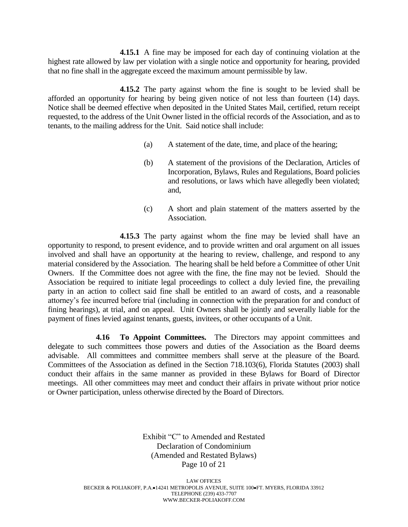**4.15.1** A fine may be imposed for each day of continuing violation at the highest rate allowed by law per violation with a single notice and opportunity for hearing, provided that no fine shall in the aggregate exceed the maximum amount permissible by law.

**4.15.2** The party against whom the fine is sought to be levied shall be afforded an opportunity for hearing by being given notice of not less than fourteen (14) days. Notice shall be deemed effective when deposited in the United States Mail, certified, return receipt requested, to the address of the Unit Owner listed in the official records of the Association, and as to tenants, to the mailing address for the Unit. Said notice shall include:

- (a) A statement of the date, time, and place of the hearing;
- (b) A statement of the provisions of the Declaration, Articles of Incorporation, Bylaws, Rules and Regulations, Board policies and resolutions, or laws which have allegedly been violated; and,
- (c) A short and plain statement of the matters asserted by the Association.

**4.15.3** The party against whom the fine may be levied shall have an opportunity to respond, to present evidence, and to provide written and oral argument on all issues involved and shall have an opportunity at the hearing to review, challenge, and respond to any material considered by the Association. The hearing shall be held before a Committee of other Unit Owners. If the Committee does not agree with the fine, the fine may not be levied. Should the Association be required to initiate legal proceedings to collect a duly levied fine, the prevailing party in an action to collect said fine shall be entitled to an award of costs, and a reasonable attorney's fee incurred before trial (including in connection with the preparation for and conduct of fining hearings), at trial, and on appeal. Unit Owners shall be jointly and severally liable for the payment of fines levied against tenants, guests, invitees, or other occupants of a Unit.

**4.16 To Appoint Committees.** The Directors may appoint committees and delegate to such committees those powers and duties of the Association as the Board deems advisable. All committees and committee members shall serve at the pleasure of the Board. Committees of the Association as defined in the Section 718.103(6), Florida Statutes (2003) shall conduct their affairs in the same manner as provided in these Bylaws for Board of Director meetings. All other committees may meet and conduct their affairs in private without prior notice or Owner participation, unless otherwise directed by the Board of Directors.

> Exhibit "C" to Amended and Restated Declaration of Condominium (Amended and Restated Bylaws) Page 10 of 21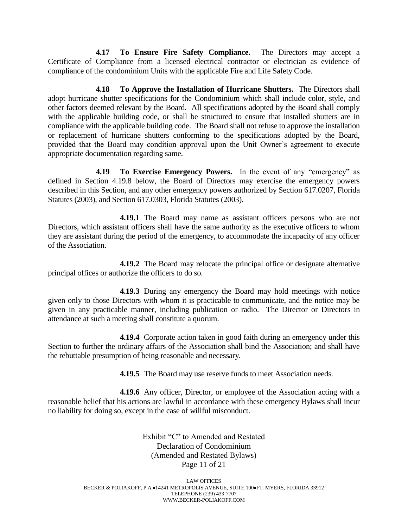**4.17 To Ensure Fire Safety Compliance.** The Directors may accept a Certificate of Compliance from a licensed electrical contractor or electrician as evidence of compliance of the condominium Units with the applicable Fire and Life Safety Code.

**4.18 To Approve the Installation of Hurricane Shutters.** The Directors shall adopt hurricane shutter specifications for the Condominium which shall include color, style, and other factors deemed relevant by the Board. All specifications adopted by the Board shall comply with the applicable building code, or shall be structured to ensure that installed shutters are in compliance with the applicable building code. The Board shall not refuse to approve the installation or replacement of hurricane shutters conforming to the specifications adopted by the Board, provided that the Board may condition approval upon the Unit Owner's agreement to execute appropriate documentation regarding same.

**4.19 To Exercise Emergency Powers.** In the event of any "emergency" as defined in Section 4.19.8 below, the Board of Directors may exercise the emergency powers described in this Section, and any other emergency powers authorized by Section 617.0207, Florida Statutes (2003), and Section 617.0303, Florida Statutes (2003).

**4.19.1** The Board may name as assistant officers persons who are not Directors, which assistant officers shall have the same authority as the executive officers to whom they are assistant during the period of the emergency, to accommodate the incapacity of any officer of the Association.

**4.19.2** The Board may relocate the principal office or designate alternative principal offices or authorize the officers to do so.

**4.19.3** During any emergency the Board may hold meetings with notice given only to those Directors with whom it is practicable to communicate, and the notice may be given in any practicable manner, including publication or radio. The Director or Directors in attendance at such a meeting shall constitute a quorum.

**4.19.4** Corporate action taken in good faith during an emergency under this Section to further the ordinary affairs of the Association shall bind the Association; and shall have the rebuttable presumption of being reasonable and necessary.

**4.19.5** The Board may use reserve funds to meet Association needs.

**4.19.6** Any officer, Director, or employee of the Association acting with a reasonable belief that his actions are lawful in accordance with these emergency Bylaws shall incur no liability for doing so, except in the case of willful misconduct.

> Exhibit "C" to Amended and Restated Declaration of Condominium (Amended and Restated Bylaws) Page 11 of 21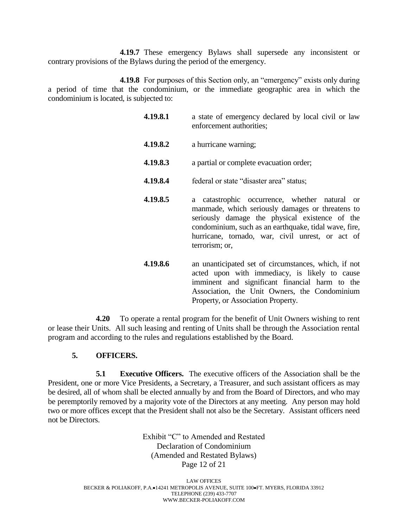**4.19.7** These emergency Bylaws shall supersede any inconsistent or contrary provisions of the Bylaws during the period of the emergency.

**4.19.8** For purposes of this Section only, an "emergency" exists only during a period of time that the condominium, or the immediate geographic area in which the condominium is located, is subjected to:

- **4.19.8.1** a state of emergency declared by local civil or law enforcement authorities; **4.19.8.2** a hurricane warning; **4.19.8.3** a partial or complete evacuation order; **4.19.8.4** federal or state "disaster area" status; **4.19.8.5** a catastrophic occurrence, whether natural or manmade, which seriously damages or threatens to seriously damage the physical existence of the condominium, such as an earthquake, tidal wave, fire, hurricane, tornado, war, civil unrest, or act of terrorism; or, **4.19.8.6** an unanticipated set of circumstances, which, if not acted upon with immediacy, is likely to cause
	- imminent and significant financial harm to the Association, the Unit Owners, the Condominium Property, or Association Property.

**4.20** To operate a rental program for the benefit of Unit Owners wishing to rent or lease their Units. All such leasing and renting of Units shall be through the Association rental program and according to the rules and regulations established by the Board.

# **5. OFFICERS.**

**5.1 Executive Officers.** The executive officers of the Association shall be the President, one or more Vice Presidents, a Secretary, a Treasurer, and such assistant officers as may be desired, all of whom shall be elected annually by and from the Board of Directors, and who may be peremptorily removed by a majority vote of the Directors at any meeting. Any person may hold two or more offices except that the President shall not also be the Secretary. Assistant officers need not be Directors.

> Exhibit "C" to Amended and Restated Declaration of Condominium (Amended and Restated Bylaws) Page 12 of 21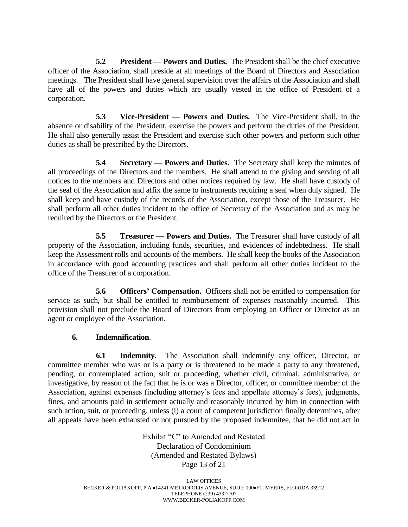**5.2 President — Powers and Duties.** The President shall be the chief executive officer of the Association, shall preside at all meetings of the Board of Directors and Association meetings. The President shall have general supervision over the affairs of the Association and shall have all of the powers and duties which are usually vested in the office of President of a corporation.

**5.3 Vice-President — Powers and Duties.** The Vice-President shall, in the absence or disability of the President, exercise the powers and perform the duties of the President. He shall also generally assist the President and exercise such other powers and perform such other duties as shall be prescribed by the Directors.

**5.4 Secretary — Powers and Duties.** The Secretary shall keep the minutes of all proceedings of the Directors and the members. He shall attend to the giving and serving of all notices to the members and Directors and other notices required by law. He shall have custody of the seal of the Association and affix the same to instruments requiring a seal when duly signed. He shall keep and have custody of the records of the Association, except those of the Treasurer. He shall perform all other duties incident to the office of Secretary of the Association and as may be required by the Directors or the President.

**5.5 Treasurer — Powers and Duties.** The Treasurer shall have custody of all property of the Association, including funds, securities, and evidences of indebtedness. He shall keep the Assessment rolls and accounts of the members. He shall keep the books of the Association in accordance with good accounting practices and shall perform all other duties incident to the office of the Treasurer of a corporation.

**5.6 Officers' Compensation.** Officers shall not be entitled to compensation for service as such, but shall be entitled to reimbursement of expenses reasonably incurred. This provision shall not preclude the Board of Directors from employing an Officer or Director as an agent or employee of the Association.

## **6. Indemnification**.

**6.1 Indemnity.** The Association shall indemnify any officer, Director, or committee member who was or is a party or is threatened to be made a party to any threatened, pending, or contemplated action, suit or proceeding, whether civil, criminal, administrative, or investigative, by reason of the fact that he is or was a Director, officer, or committee member of the Association, against expenses (including attorney's fees and appellate attorney's fees), judgments, fines, and amounts paid in settlement actually and reasonably incurred by him in connection with such action, suit, or proceeding, unless (i) a court of competent jurisdiction finally determines, after all appeals have been exhausted or not pursued by the proposed indemnitee, that he did not act in

> Exhibit "C" to Amended and Restated Declaration of Condominium (Amended and Restated Bylaws) Page 13 of 21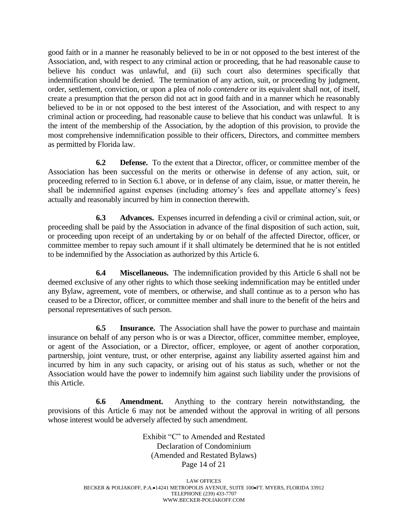good faith or in a manner he reasonably believed to be in or not opposed to the best interest of the Association, and, with respect to any criminal action or proceeding, that he had reasonable cause to believe his conduct was unlawful, and (ii) such court also determines specifically that indemnification should be denied. The termination of any action, suit, or proceeding by judgment, order, settlement, conviction, or upon a plea of *nolo contendere* or its equivalent shall not, of itself, create a presumption that the person did not act in good faith and in a manner which he reasonably believed to be in or not opposed to the best interest of the Association, and with respect to any criminal action or proceeding, had reasonable cause to believe that his conduct was unlawful. It is the intent of the membership of the Association, by the adoption of this provision, to provide the most comprehensive indemnification possible to their officers, Directors, and committee members as permitted by Florida law.

**6.2 Defense.** To the extent that a Director, officer, or committee member of the Association has been successful on the merits or otherwise in defense of any action, suit, or proceeding referred to in Section 6.1 above, or in defense of any claim, issue, or matter therein, he shall be indemnified against expenses (including attorney's fees and appellate attorney's fees) actually and reasonably incurred by him in connection therewith.

**6.3 Advances.** Expenses incurred in defending a civil or criminal action, suit, or proceeding shall be paid by the Association in advance of the final disposition of such action, suit, or proceeding upon receipt of an undertaking by or on behalf of the affected Director, officer, or committee member to repay such amount if it shall ultimately be determined that he is not entitled to be indemnified by the Association as authorized by this Article 6.

**6.4 Miscellaneous.** The indemnification provided by this Article 6 shall not be deemed exclusive of any other rights to which those seeking indemnification may be entitled under any Bylaw, agreement, vote of members, or otherwise, and shall continue as to a person who has ceased to be a Director, officer, or committee member and shall inure to the benefit of the heirs and personal representatives of such person.

**6.5 Insurance.** The Association shall have the power to purchase and maintain insurance on behalf of any person who is or was a Director, officer, committee member, employee, or agent of the Association, or a Director, officer, employee, or agent of another corporation, partnership, joint venture, trust, or other enterprise, against any liability asserted against him and incurred by him in any such capacity, or arising out of his status as such, whether or not the Association would have the power to indemnify him against such liability under the provisions of this Article.

**6.6 Amendment.** Anything to the contrary herein notwithstanding, the provisions of this Article 6 may not be amended without the approval in writing of all persons whose interest would be adversely affected by such amendment.

> Exhibit "C" to Amended and Restated Declaration of Condominium (Amended and Restated Bylaws) Page 14 of 21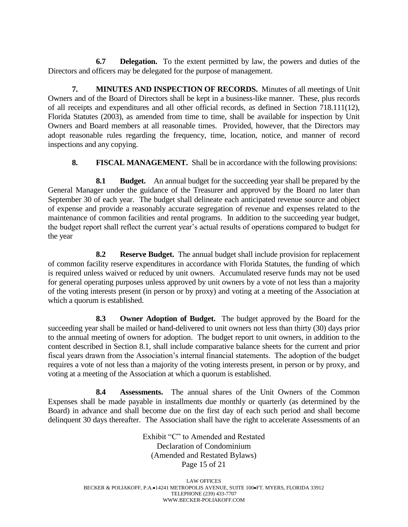**6.7 Delegation.** To the extent permitted by law, the powers and duties of the Directors and officers may be delegated for the purpose of management.

**7. MINUTES AND INSPECTION OF RECORDS.** Minutes of all meetings of Unit Owners and of the Board of Directors shall be kept in a business-like manner. These, plus records of all receipts and expenditures and all other official records, as defined in Section 718.111(12), Florida Statutes (2003), as amended from time to time, shall be available for inspection by Unit Owners and Board members at all reasonable times. Provided, however, that the Directors may adopt reasonable rules regarding the frequency, time, location, notice, and manner of record inspections and any copying.

**8. FISCAL MANAGEMENT.** Shall be in accordance with the following provisions:

**8.1 Budget.** An annual budget for the succeeding year shall be prepared by the General Manager under the guidance of the Treasurer and approved by the Board no later than September 30 of each year. The budget shall delineate each anticipated revenue source and object of expense and provide a reasonably accurate segregation of revenue and expenses related to the maintenance of common facilities and rental programs. In addition to the succeeding year budget, the budget report shall reflect the current year's actual results of operations compared to budget for the year

**8.2 Reserve Budget.** The annual budget shall include provision for replacement of common facility reserve expenditures in accordance with Florida Statutes, the funding of which is required unless waived or reduced by unit owners. Accumulated reserve funds may not be used for general operating purposes unless approved by unit owners by a vote of not less than a majority of the voting interests present (in person or by proxy) and voting at a meeting of the Association at which a quorum is established.

**8.3 Owner Adoption of Budget.** The budget approved by the Board for the succeeding year shall be mailed or hand-delivered to unit owners not less than thirty (30) days prior to the annual meeting of owners for adoption. The budget report to unit owners, in addition to the content described in Section 8.1, shall include comparative balance sheets for the current and prior fiscal years drawn from the Association's internal financial statements. The adoption of the budget requires a vote of not less than a majority of the voting interests present, in person or by proxy, and voting at a meeting of the Association at which a quorum is established.

**8.4 Assessments.** The annual shares of the Unit Owners of the Common Expenses shall be made payable in installments due monthly or quarterly (as determined by the Board) in advance and shall become due on the first day of each such period and shall become delinquent 30 days thereafter. The Association shall have the right to accelerate Assessments of an

> Exhibit "C" to Amended and Restated Declaration of Condominium (Amended and Restated Bylaws) Page 15 of 21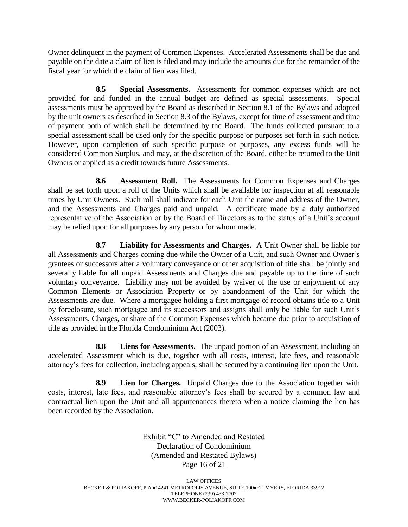Owner delinquent in the payment of Common Expenses. Accelerated Assessments shall be due and payable on the date a claim of lien is filed and may include the amounts due for the remainder of the fiscal year for which the claim of lien was filed.

**8.5 Special Assessments.** Assessments for common expenses which are not provided for and funded in the annual budget are defined as special assessments. Special assessments must be approved by the Board as described in Section 8.1 of the Bylaws and adopted by the unit owners as described in Section 8.3 of the Bylaws, except for time of assessment and time of payment both of which shall be determined by the Board. The funds collected pursuant to a special assessment shall be used only for the specific purpose or purposes set forth in such notice. However, upon completion of such specific purpose or purposes, any excess funds will be considered Common Surplus, and may, at the discretion of the Board, either be returned to the Unit Owners or applied as a credit towards future Assessments.

**8.6 Assessment Roll.** The Assessments for Common Expenses and Charges shall be set forth upon a roll of the Units which shall be available for inspection at all reasonable times by Unit Owners. Such roll shall indicate for each Unit the name and address of the Owner, and the Assessments and Charges paid and unpaid. A certificate made by a duly authorized representative of the Association or by the Board of Directors as to the status of a Unit's account may be relied upon for all purposes by any person for whom made.

**8.7 Liability for Assessments and Charges.** A Unit Owner shall be liable for all Assessments and Charges coming due while the Owner of a Unit, and such Owner and Owner's grantees or successors after a voluntary conveyance or other acquisition of title shall be jointly and severally liable for all unpaid Assessments and Charges due and payable up to the time of such voluntary conveyance. Liability may not be avoided by waiver of the use or enjoyment of any Common Elements or Association Property or by abandonment of the Unit for which the Assessments are due. Where a mortgagee holding a first mortgage of record obtains title to a Unit by foreclosure, such mortgagee and its successors and assigns shall only be liable for such Unit's Assessments, Charges, or share of the Common Expenses which became due prior to acquisition of title as provided in the Florida Condominium Act (2003).

**8.8 Liens for Assessments.** The unpaid portion of an Assessment, including an accelerated Assessment which is due, together with all costs, interest, late fees, and reasonable attorney's fees for collection, including appeals, shall be secured by a continuing lien upon the Unit.

**8.9 Lien for Charges.** Unpaid Charges due to the Association together with costs, interest, late fees, and reasonable attorney's fees shall be secured by a common law and contractual lien upon the Unit and all appurtenances thereto when a notice claiming the lien has been recorded by the Association.

> Exhibit "C" to Amended and Restated Declaration of Condominium (Amended and Restated Bylaws) Page 16 of 21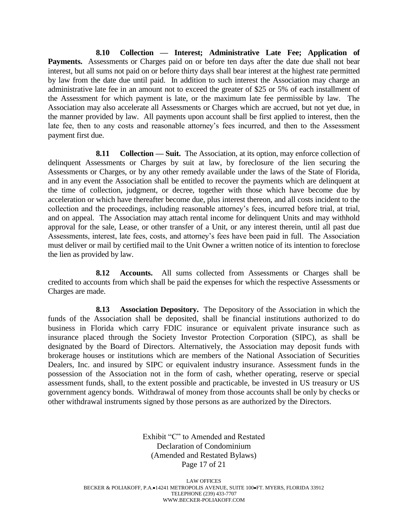**8.10 Collection — Interest; Administrative Late Fee; Application of**  Payments. Assessments or Charges paid on or before ten days after the date due shall not bear interest, but all sums not paid on or before thirty days shall bear interest at the highest rate permitted by law from the date due until paid. In addition to such interest the Association may charge an administrative late fee in an amount not to exceed the greater of \$25 or 5% of each installment of the Assessment for which payment is late, or the maximum late fee permissible by law. The Association may also accelerate all Assessments or Charges which are accrued, but not yet due, in the manner provided by law. All payments upon account shall be first applied to interest, then the late fee, then to any costs and reasonable attorney's fees incurred, and then to the Assessment payment first due.

**8.11 Collection — Suit.** The Association, at its option, may enforce collection of delinquent Assessments or Charges by suit at law, by foreclosure of the lien securing the Assessments or Charges, or by any other remedy available under the laws of the State of Florida, and in any event the Association shall be entitled to recover the payments which are delinquent at the time of collection, judgment, or decree, together with those which have become due by acceleration or which have thereafter become due, plus interest thereon, and all costs incident to the collection and the proceedings, including reasonable attorney's fees, incurred before trial, at trial, and on appeal. The Association may attach rental income for delinquent Units and may withhold approval for the sale, Lease, or other transfer of a Unit, or any interest therein, until all past due Assessments, interest, late fees, costs, and attorney's fees have been paid in full. The Association must deliver or mail by certified mail to the Unit Owner a written notice of its intention to foreclose the lien as provided by law.

**8.12 Accounts.** All sums collected from Assessments or Charges shall be credited to accounts from which shall be paid the expenses for which the respective Assessments or Charges are made.

**8.13 Association Depository.** The Depository of the Association in which the funds of the Association shall be deposited, shall be financial institutions authorized to do business in Florida which carry FDIC insurance or equivalent private insurance such as insurance placed through the Society Investor Protection Corporation (SIPC), as shall be designated by the Board of Directors. Alternatively, the Association may deposit funds with brokerage houses or institutions which are members of the National Association of Securities Dealers, Inc. and insured by SIPC or equivalent industry insurance. Assessment funds in the possession of the Association not in the form of cash, whether operating, reserve or special assessment funds, shall, to the extent possible and practicable, be invested in US treasury or US government agency bonds. Withdrawal of money from those accounts shall be only by checks or other withdrawal instruments signed by those persons as are authorized by the Directors.

> Exhibit "C" to Amended and Restated Declaration of Condominium (Amended and Restated Bylaws) Page 17 of 21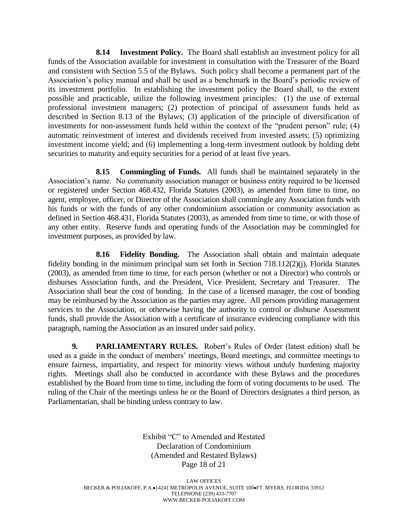**8.14 Investment Policy.** The Board shall establish an investment policy for all funds of the Association available for investment in consultation with the Treasurer of the Board and consistent with Section 5.5 of the Bylaws. Such policy shall become a permanent part of the Association's policy manual and shall be used as a benchmark in the Board's periodic review of its investment portfolio. In establishing the investment policy the Board shall, to the extent possible and practicable, utilize the following investment principles: (1) the use of external professional investment managers; (2) protection of principal of assessment funds held as described in Section 8.13 of the Bylaws; (3) application of the principle of diversification of investments for non-assessment funds held within the context of the "prudent person" rule; (4) automatic reinvestment of interest and dividends received from invested assets; (5) optimizing investment income yield; and (6) implementing a long-term investment outlook by holding debt securities to maturity and equity securities for a period of at least five years.

**8.15 Commingling of Funds.** All funds shall be maintained separately in the Association's name. No community association manager or business entity required to be licensed or registered under Section 468.432, Florida Statutes (2003), as amended from time to time, no agent, employee, officer, or Director of the Association shall commingle any Association funds with his funds or with the funds of any other condominium association or community association as defined in Section 468.431, Florida Statutes (2003), as amended from time to time, or with those of any other entity. Reserve funds and operating funds of the Association may be commingled for investment purposes, as provided by law.

**8.16 Fidelity Bonding.** The Association shall obtain and maintain adequate fidelity bonding in the minimum principal sum set forth in Section 718.112(2)(j), Florida Statutes (2003), as amended from time to time, for each person (whether or not a Director) who controls or disburses Association funds, and the President, Vice President, Secretary and Treasurer. The Association shall bear the cost of bonding. In the case of a licensed manager, the cost of bonding may be reimbursed by the Association as the parties may agree. All persons providing management services to the Association, or otherwise having the authority to control or disburse Assessment funds, shall provide the Association with a certificate of insurance evidencing compliance with this paragraph, naming the Association as an insured under said policy.

**9. PARLIAMENTARY RULES.** Robert's Rules of Order (latest edition) shall be used as a guide in the conduct of members' meetings, Board meetings, and committee meetings to ensure fairness, impartiality, and respect for minority views without unduly burdening majority rights. Meetings shall also be conducted in accordance with these Bylaws and the procedures established by the Board from time to time, including the form of voting documents to be used. The ruling of the Chair of the meetings unless he or the Board of Directors designates a third person, as Parliamentarian, shall be binding unless contrary to law.

> Exhibit "C" to Amended and Restated Declaration of Condominium (Amended and Restated Bylaws) Page 18 of 21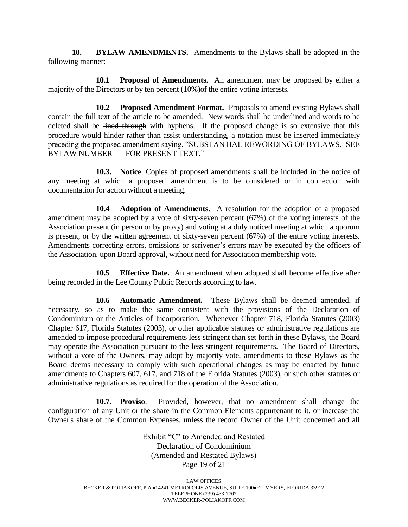**10. BYLAW AMENDMENTS.** Amendments to the Bylaws shall be adopted in the following manner:

**10.1 Proposal of Amendments.** An amendment may be proposed by either a majority of the Directors or by ten percent (10%)of the entire voting interests.

**10.2 Proposed Amendment Format.** Proposals to amend existing Bylaws shall contain the full text of the article to be amended. New words shall be underlined and words to be deleted shall be lined through with hyphens. If the proposed change is so extensive that this procedure would hinder rather than assist understanding, a notation must be inserted immediately preceding the proposed amendment saying, "SUBSTANTIAL REWORDING OF BYLAWS. SEE BYLAW NUMBER \_\_ FOR PRESENT TEXT."

**10.3. Notice**. Copies of proposed amendments shall be included in the notice of any meeting at which a proposed amendment is to be considered or in connection with documentation for action without a meeting.

**10.4 Adoption of Amendments.** A resolution for the adoption of a proposed amendment may be adopted by a vote of sixty-seven percent (67%) of the voting interests of the Association present (in person or by proxy) and voting at a duly noticed meeting at which a quorum is present, or by the written agreement of sixty-seven percent (67%) of the entire voting interests. Amendments correcting errors, omissions or scrivener's errors may be executed by the officers of the Association, upon Board approval, without need for Association membership vote.

**10.5 Effective Date.** An amendment when adopted shall become effective after being recorded in the Lee County Public Records according to law.

**10.6 Automatic Amendment.** These Bylaws shall be deemed amended, if necessary, so as to make the same consistent with the provisions of the Declaration of Condominium or the Articles of Incorporation. Whenever Chapter 718, Florida Statutes (2003) Chapter 617, Florida Statutes (2003), or other applicable statutes or administrative regulations are amended to impose procedural requirements less stringent than set forth in these Bylaws, the Board may operate the Association pursuant to the less stringent requirements. The Board of Directors, without a vote of the Owners, may adopt by majority vote, amendments to these Bylaws as the Board deems necessary to comply with such operational changes as may be enacted by future amendments to Chapters 607, 617, and 718 of the Florida Statutes (2003), or such other statutes or administrative regulations as required for the operation of the Association.

**10.7. Proviso**. Provided, however, that no amendment shall change the configuration of any Unit or the share in the Common Elements appurtenant to it, or increase the Owner's share of the Common Expenses, unless the record Owner of the Unit concerned and all

> Exhibit "C" to Amended and Restated Declaration of Condominium (Amended and Restated Bylaws) Page 19 of 21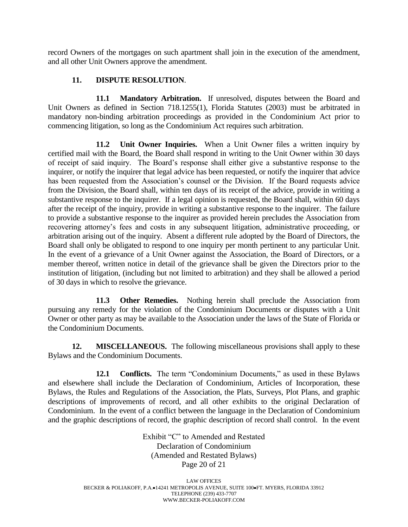record Owners of the mortgages on such apartment shall join in the execution of the amendment, and all other Unit Owners approve the amendment.

## **11. DISPUTE RESOLUTION**.

**11.1 Mandatory Arbitration.** If unresolved, disputes between the Board and Unit Owners as defined in Section 718.1255(1), Florida Statutes (2003) must be arbitrated in mandatory non-binding arbitration proceedings as provided in the Condominium Act prior to commencing litigation, so long as the Condominium Act requires such arbitration.

**11.2 Unit Owner Inquiries.** When a Unit Owner files a written inquiry by certified mail with the Board, the Board shall respond in writing to the Unit Owner within 30 days of receipt of said inquiry. The Board's response shall either give a substantive response to the inquirer, or notify the inquirer that legal advice has been requested, or notify the inquirer that advice has been requested from the Association's counsel or the Division. If the Board requests advice from the Division, the Board shall, within ten days of its receipt of the advice, provide in writing a substantive response to the inquirer. If a legal opinion is requested, the Board shall, within 60 days after the receipt of the inquiry, provide in writing a substantive response to the inquirer. The failure to provide a substantive response to the inquirer as provided herein precludes the Association from recovering attorney's fees and costs in any subsequent litigation, administrative proceeding, or arbitration arising out of the inquiry. Absent a different rule adopted by the Board of Directors, the Board shall only be obligated to respond to one inquiry per month pertinent to any particular Unit. In the event of a grievance of a Unit Owner against the Association, the Board of Directors, or a member thereof, written notice in detail of the grievance shall be given the Directors prior to the institution of litigation, (including but not limited to arbitration) and they shall be allowed a period of 30 days in which to resolve the grievance.

**11.3 Other Remedies.** Nothing herein shall preclude the Association from pursuing any remedy for the violation of the Condominium Documents or disputes with a Unit Owner or other party as may be available to the Association under the laws of the State of Florida or the Condominium Documents.

**12. MISCELLANEOUS.** The following miscellaneous provisions shall apply to these Bylaws and the Condominium Documents.

**12.1 Conflicts.** The term "Condominium Documents," as used in these Bylaws and elsewhere shall include the Declaration of Condominium, Articles of Incorporation, these Bylaws, the Rules and Regulations of the Association, the Plats, Surveys, Plot Plans, and graphic descriptions of improvements of record, and all other exhibits to the original Declaration of Condominium. In the event of a conflict between the language in the Declaration of Condominium and the graphic descriptions of record, the graphic description of record shall control. In the event

> Exhibit "C" to Amended and Restated Declaration of Condominium (Amended and Restated Bylaws) Page 20 of 21